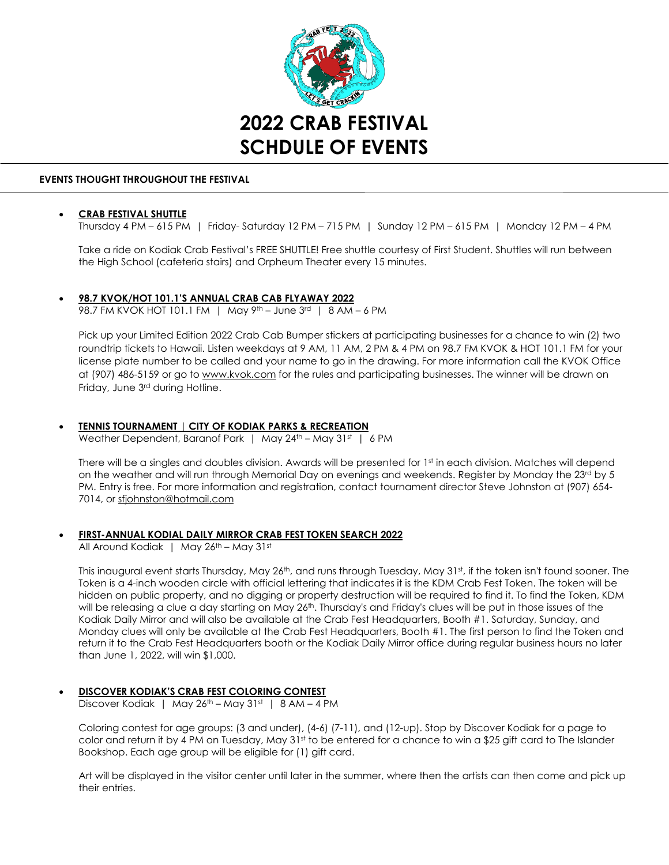

#### **EVENTS THOUGHT THROUGHOUT THE FESTIVAL**

### **CRAB FESTIVAL SHUTTLE**

Thursday 4 PM – 615 PM | Friday- Saturday 12 PM – 715 PM | Sunday 12 PM – 615 PM | Monday 12 PM – 4 PM

Take a ride on Kodiak Crab Festival's FREE SHUTTLE! Free shuttle courtesy of First Student. Shuttles will run between the High School (cafeteria stairs) and Orpheum Theater every 15 minutes.

# • **98.7 KVOK/HOT 101.1'S ANNUAL CRAB CAB FLYAWAY 2022**

98.7 FM KVOK HOT 101.1 FM | May 9th – June 3rd | 8 AM – 6 PM

Pick up your Limited Edition 2022 Crab Cab Bumper stickers at participating businesses for a chance to win (2) two roundtrip tickets to Hawaii. Listen weekdays at 9 AM, 11 AM, 2 PM & 4 PM on 98.7 FM KVOK & HOT 101.1 FM for your license plate number to be called and your name to go in the drawing. For more information call the KVOK Office at (907) 486-5159 or go to [www.kvok.com](http://www.kvok.com/) for the rules and participating businesses. The winner will be drawn on Friday, June 3rd during Hotline.

# • **TENNIS TOURNAMENT | CITY OF KODIAK PARKS & RECREATION**

Weather Dependent, Baranof Park | May  $24<sup>th</sup>$  – May  $31<sup>st</sup>$  | 6 PM

There will be a singles and doubles division. Awards will be presented for 1st in each division. Matches will depend on the weather and will run through Memorial Day on evenings and weekends. Register by Monday the 23rd by 5 PM. Entry is free. For more information and registration, contact tournament director Steve Johnston at (907) 654- 7014, or [sfjohnston@hotmail.com](mailto:sfjohnston@hotmail.com) 

### • **FIRST-ANNUAL KODIAL DAILY MIRROR CRAB FEST TOKEN SEARCH 2022**

All Around Kodiak | May 26<sup>th</sup> – May 31st

This inaugural event starts Thursday, May 26<sup>th</sup>, and runs through Tuesday, May 31<sup>st</sup>, if the token isn't found sooner. The Token is a 4-inch wooden circle with official lettering that indicates it is the KDM Crab Fest Token. The token will be hidden on public property, and no digging or property destruction will be required to find it. To find the Token, KDM will be releasing a clue a day starting on May 26<sup>th</sup>. Thursday's and Friday's clues will be put in those issues of the Kodiak Daily Mirror and will also be available at the Crab Fest Headquarters, Booth #1. Saturday, Sunday, and Monday clues will only be available at the Crab Fest Headquarters, Booth #1. The first person to find the Token and return it to the Crab Fest Headquarters booth or the Kodiak Daily Mirror office during regular business hours no later than June 1, 2022, will win \$1,000.

# • **DISCOVER KODIAK'S CRAB FEST COLORING CONTEST**

Discover Kodiak | May 26<sup>th</sup> – May 31st | 8 AM – 4 PM

Coloring contest for age groups: (3 and under), (4-6) (7-11), and (12-up). Stop by Discover Kodiak for a page to color and return it by 4 PM on Tuesday, May 31<sup>st</sup> to be entered for a chance to win a \$25 gift card to The Islander Bookshop. Each age group will be eligible for (1) gift card.

Art will be displayed in the visitor center until later in the summer, where then the artists can then come and pick up their entries.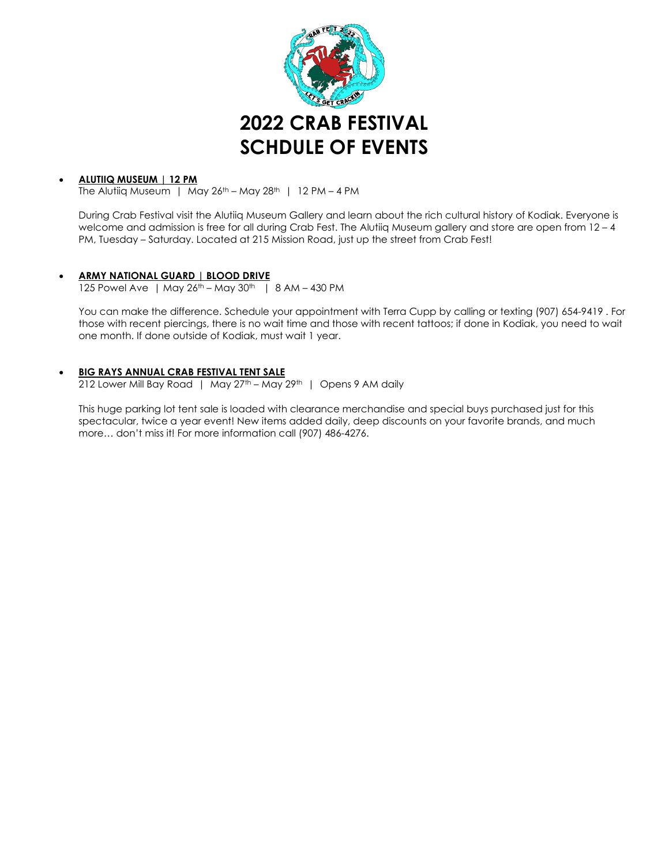

# • **ALUTIIQ MUSEUM | 12 PM**

The Alutiiq Museum | May  $26^{th}$  – May  $28^{th}$  | 12 PM – 4 PM

During Crab Festival visit the Alutiiq Museum Gallery and learn about the rich cultural history of Kodiak. Everyone is welcome and admission is free for all during Crab Fest. The Alutiiq Museum gallery and store are open from 12-4 PM, Tuesday – Saturday. Located at 215 Mission Road, just up the street from Crab Fest!

### • **ARMY NATIONAL GUARD | BLOOD DRIVE**

125 Powel Ave | May 26<sup>th</sup> – May 30<sup>th</sup> | 8 AM – 430 PM

You can make the difference. Schedule your appointment with Terra Cupp by calling or texting (907) 654-9419 . For those with recent piercings, there is no wait time and those with recent tattoos; if done in Kodiak, you need to wait one month. If done outside of Kodiak, must wait 1 year.

# • **BIG RAYS ANNUAL CRAB FESTIVAL TENT SALE**

212 Lower Mill Bay Road | May 27<sup>th</sup> – May 29<sup>th</sup> | Opens 9 AM daily

This huge parking lot tent sale is loaded with clearance merchandise and special buys purchased just for this spectacular, twice a year event! New items added daily, deep discounts on your favorite brands, and much more… don't miss it! For more information call (907) 486-4276.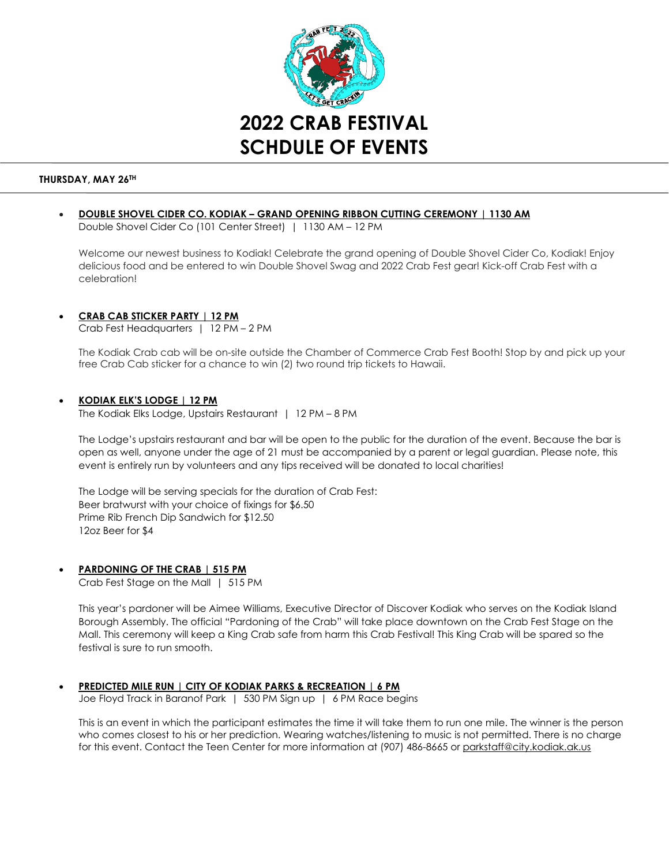

### **THURSDAY, MAY 26TH**

• **DOUBLE SHOVEL CIDER CO. KODIAK – GRAND OPENING RIBBON CUTTING CEREMONY | 1130 AM** Double Shovel Cider Co (101 Center Street) | 1130 AM – 12 PM

Welcome our newest business to Kodiak! Celebrate the grand opening of Double Shovel Cider Co, Kodiak! Enjoy delicious food and be entered to win Double Shovel Swag and 2022 Crab Fest gear! Kick-off Crab Fest with a celebration!

# • **CRAB CAB STICKER PARTY | 12 PM**

Crab Fest Headquarters | 12 PM – 2 PM

The Kodiak Crab cab will be on-site outside the Chamber of Commerce Crab Fest Booth! Stop by and pick up your free Crab Cab sticker for a chance to win (2) two round trip tickets to Hawaii.

### • **KODIAK ELK'S LODGE | 12 PM**

The Kodiak Elks Lodge, Upstairs Restaurant | 12 PM – 8 PM

The Lodge's upstairs restaurant and bar will be open to the public for the duration of the event. Because the bar is open as well, anyone under the age of 21 must be accompanied by a parent or legal guardian. Please note, this event is entirely run by volunteers and any tips received will be donated to local charities!

The Lodge will be serving specials for the duration of Crab Fest: Beer bratwurst with your choice of fixings for \$6.50 Prime Rib French Dip Sandwich for \$12.50 12oz Beer for \$4

### • **PARDONING OF THE CRAB | 515 PM**

Crab Fest Stage on the Mall | 515 PM

This year's pardoner will be Aimee Williams, Executive Director of Discover Kodiak who serves on the Kodiak Island Borough Assembly. The official "Pardoning of the Crab" will take place downtown on the Crab Fest Stage on the Mall. This ceremony will keep a King Crab safe from harm this Crab Festival! This King Crab will be spared so the festival is sure to run smooth.

### • **PREDICTED MILE RUN | CITY OF KODIAK PARKS & RECREATION | 6 PM**

Joe Floyd Track in Baranof Park | 530 PM Sign up | 6 PM Race begins

This is an event in which the participant estimates the time it will take them to run one mile. The winner is the person who comes closest to his or her prediction. Wearing watches/listening to music is not permitted. There is no charge for this event. Contact the Teen Center for more information at (907) 486-8665 o[r parkstaff@city.kodiak.ak.us](mailto:parkstaff@city.kodiak.ak.us)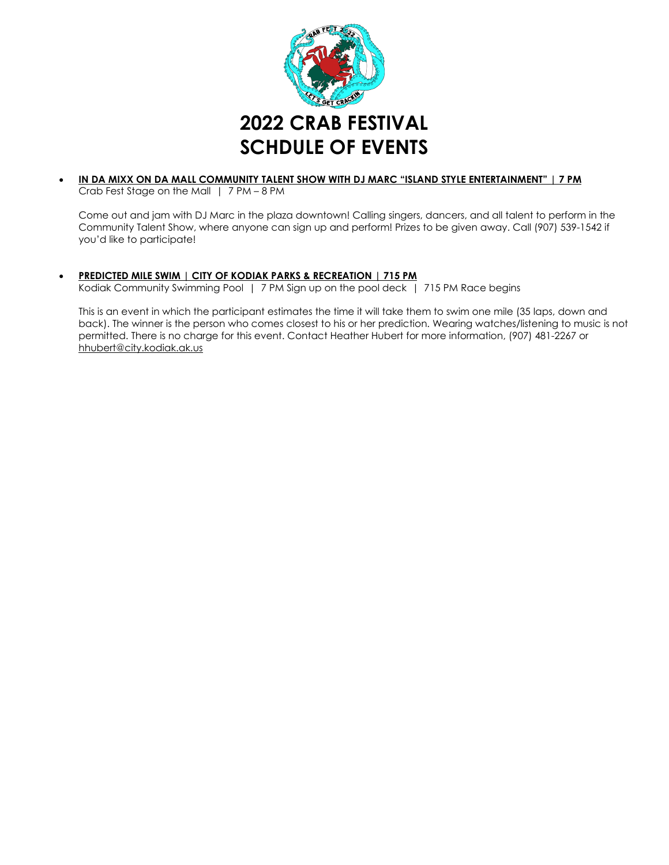

#### • **IN DA MIXX ON DA MALL COMMUNITY TALENT SHOW WITH DJ MARC "ISLAND STYLE ENTERTAINMENT" | 7 PM**  Crab Fest Stage on the Mall | 7 PM – 8 PM

Come out and jam with DJ Marc in the plaza downtown! Calling singers, dancers, and all talent to perform in the Community Talent Show, where anyone can sign up and perform! Prizes to be given away. Call (907) 539-1542 if you'd like to participate!

### • **PREDICTED MILE SWIM | CITY OF KODIAK PARKS & RECREATION | 715 PM**

Kodiak Community Swimming Pool | 7 PM Sign up on the pool deck | 715 PM Race begins

This is an event in which the participant estimates the time it will take them to swim one mile (35 laps, down and back). The winner is the person who comes closest to his or her prediction. Wearing watches/listening to music is not permitted. There is no charge for this event. Contact Heather Hubert for more information, (907) 481-2267 or [hhubert@city.kodiak.ak.us](mailto:hhubert@city.kodiak.ak.us)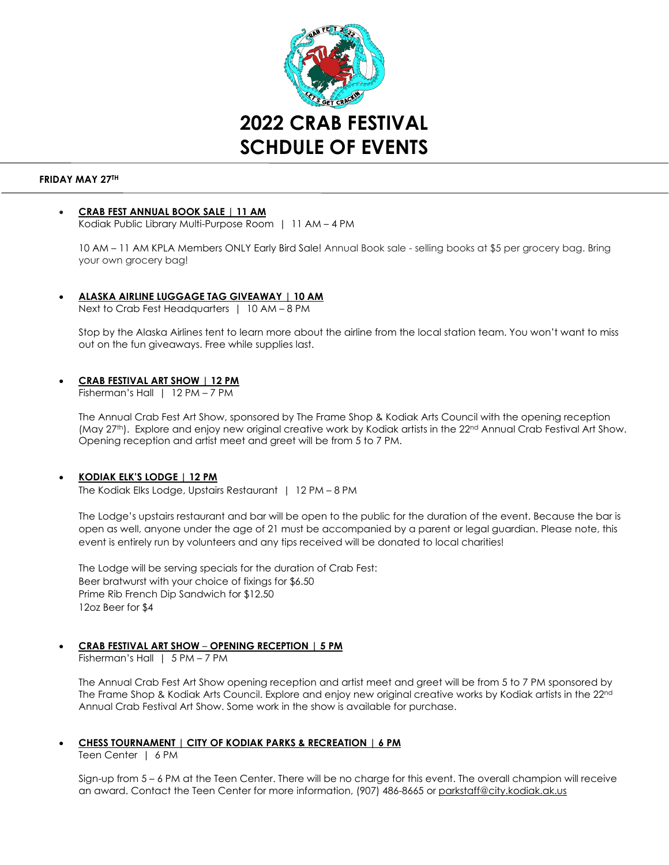

### **FRIDAY MAY 27TH**

# • **CRAB FEST ANNUAL BOOK SALE | 11 AM**

Kodiak Public Library Multi-Purpose Room | 11 AM – 4 PM

10 AM – 11 AM KPLA Members ONLY Early Bird Sale! Annual Book sale - selling books at \$5 per grocery bag. Bring your own grocery bag!

• **ALASKA AIRLINE LUGGAGE TAG GIVEAWAY | 10 AM** Next to Crab Fest Headquarters | 10 AM – 8 PM

Stop by the Alaska Airlines tent to learn more about the airline from the local station team. You won't want to miss out on the fun giveaways. Free while supplies last.

### • **CRAB FESTIVAL ART SHOW | 12 PM**

Fisherman's Hall | 12 PM – 7 PM

The Annual Crab Fest Art Show, sponsored by The Frame Shop & Kodiak Arts Council with the opening reception (May 27<sup>th</sup>). Explore and enjoy new original creative work by Kodiak artists in the 22<sup>nd</sup> Annual Crab Festival Art Show. Opening reception and artist meet and greet will be from 5 to 7 PM.

# • **KODIAK ELK'S LODGE | 12 PM**

The Kodiak Elks Lodge, Upstairs Restaurant | 12 PM – 8 PM

The Lodge's upstairs restaurant and bar will be open to the public for the duration of the event. Because the bar is open as well, anyone under the age of 21 must be accompanied by a parent or legal guardian. Please note, this event is entirely run by volunteers and any tips received will be donated to local charities!

The Lodge will be serving specials for the duration of Crab Fest: Beer bratwurst with your choice of fixings for \$6.50 Prime Rib French Dip Sandwich for \$12.50 12oz Beer for \$4

# • **CRAB FESTIVAL ART SHOW** – **OPENING RECEPTION | 5 PM**

Fisherman's Hall | 5 PM – 7 PM

The Annual Crab Fest Art Show opening reception and artist meet and greet will be from 5 to 7 PM sponsored by The Frame Shop & Kodiak Arts Council. Explore and enjoy new original creative works by Kodiak artists in the 22nd Annual Crab Festival Art Show. Some work in the show is available for purchase.

### • **CHESS TOURNAMENT | CITY OF KODIAK PARKS & RECREATION | 6 PM**

Teen Center | 6 PM

Sign-up from 5 – 6 PM at the Teen Center. There will be no charge for this event. The overall champion will receive an award. Contact the Teen Center for more information, (907) 486-8665 or parkstaff@city.kodiak.ak.us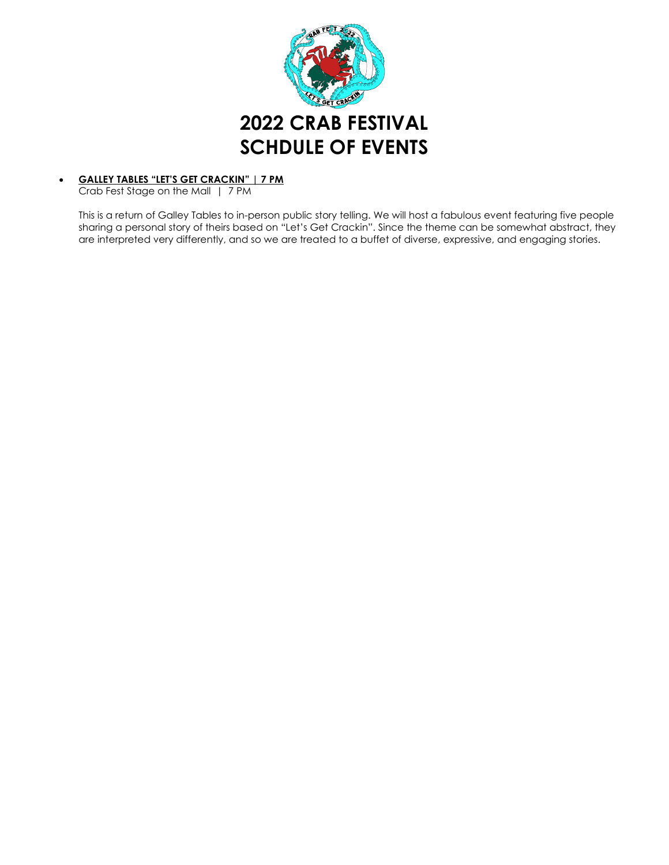

#### • **GALLEY TABLES "LET'S GET CRACKIN" | 7 PM** Crab Fest Stage on the Mall | 7 PM

This is a return of Galley Tables to in-person public story telling. We will host a fabulous event featuring five people sharing a personal story of theirs based on "Let's Get Crackin". Since the theme can be somewhat abstract, they are interpreted very differently, and so we are treated to a buffet of diverse, expressive, and engaging stories.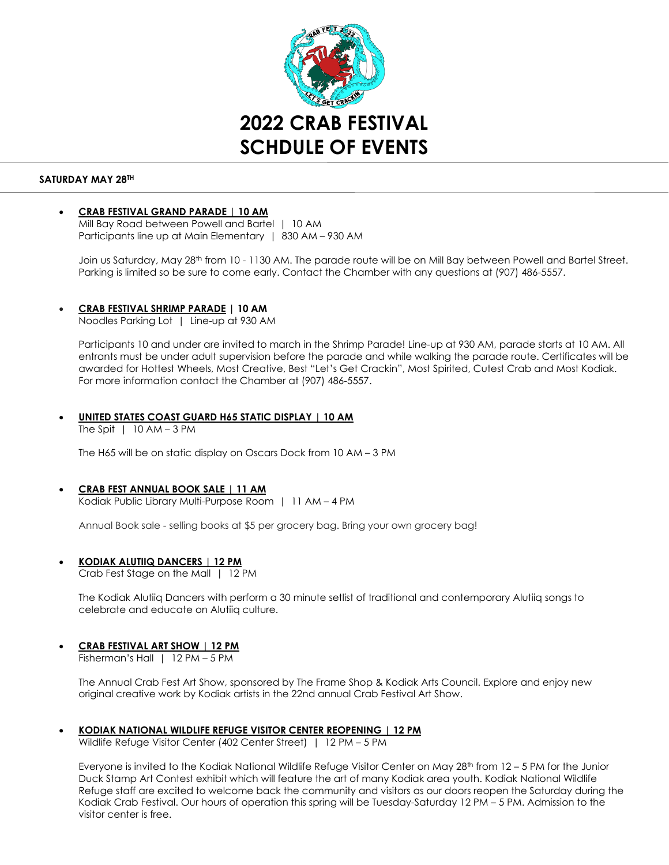

### **SATURDAY MAY 28TH**

### • **CRAB FESTIVAL GRAND PARADE | 10 AM**

Mill Bay Road between Powell and Bartel | 10 AM Participants line up at Main Elementary | 830 AM – 930 AM

Join us Saturday, May 28<sup>th</sup> from 10 - 1130 AM. The parade route will be on Mill Bay between Powell and Bartel Street. Parking is limited so be sure to come early. Contact the Chamber with any questions at (907) 486-5557.

### • **CRAB FESTIVAL SHRIMP PARADE | 10 AM**

Noodles Parking Lot | Line-up at 930 AM

Participants 10 and under are invited to march in the Shrimp Parade! Line-up at 930 AM, parade starts at 10 AM. All entrants must be under adult supervision before the parade and while walking the parade route. Certificates will be awarded for Hottest Wheels, Most Creative, Best "Let's Get Crackin", Most Spirited, Cutest Crab and Most Kodiak. For more information contact the Chamber at (907) 486-5557.

#### • **UNITED STATES COAST GUARD H65 STATIC DISPLAY | 10 AM** The Spit  $\vert$  10 AM – 3 PM

The H65 will be on static display on Oscars Dock from 10 AM – 3 PM

#### • **CRAB FEST ANNUAL BOOK SALE | 11 AM** Kodiak Public Library Multi-Purpose Room | 11 AM – 4 PM

Annual Book sale - selling books at \$5 per grocery bag. Bring your own grocery bag!

• **KODIAK ALUTIIQ DANCERS | 12 PM** 

Crab Fest Stage on the Mall | 12 PM

The Kodiak Alutiiq Dancers with perform a 30 minute setlist of traditional and contemporary Alutiiq songs to celebrate and educate on Alutiiq culture.

# • **CRAB FESTIVAL ART SHOW | 12 PM**

Fisherman's Hall | 12 PM – 5 PM

The Annual Crab Fest Art Show, sponsored by The Frame Shop & Kodiak Arts Council. Explore and enjoy new original creative work by Kodiak artists in the 22nd annual Crab Festival Art Show.

### • **KODIAK NATIONAL WILDLIFE REFUGE VISITOR CENTER REOPENING | 12 PM**

Wildlife Refuge Visitor Center (402 Center Street) | 12 PM – 5 PM

Everyone is invited to the Kodiak National Wildlife Refuge Visitor Center on May  $28<sup>th</sup>$  from  $12 - 5$  PM for the Junior Duck Stamp Art Contest exhibit which will feature the art of many Kodiak area youth. Kodiak National Wildlife Refuge staff are excited to welcome back the community and visitors as our doors reopen the Saturday during the Kodiak Crab Festival. Our hours of operation this spring will be Tuesday-Saturday 12 PM – 5 PM. Admission to the visitor center is free.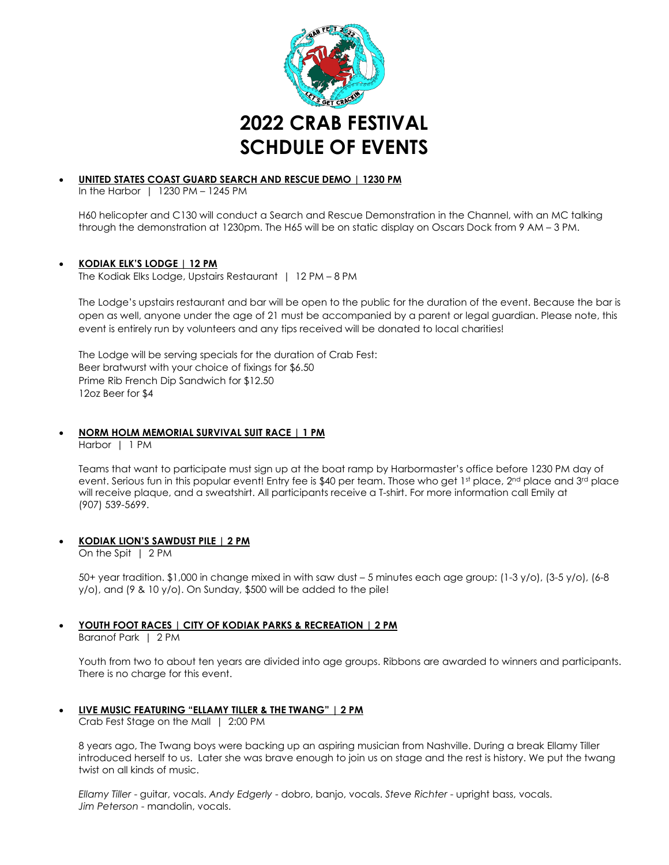

# • **UNITED STATES COAST GUARD SEARCH AND RESCUE DEMO | 1230 PM**

In the Harbor | 1230 PM – 1245 PM

H60 helicopter and C130 will conduct a Search and Rescue Demonstration in the Channel, with an MC talking through the demonstration at 1230pm. The H65 will be on static display on Oscars Dock from 9 AM – 3 PM.

# • **KODIAK ELK'S LODGE | 12 PM**

The Kodiak Elks Lodge, Upstairs Restaurant | 12 PM – 8 PM

The Lodge's upstairs restaurant and bar will be open to the public for the duration of the event. Because the bar is open as well, anyone under the age of 21 must be accompanied by a parent or legal guardian. Please note, this event is entirely run by volunteers and any tips received will be donated to local charities!

The Lodge will be serving specials for the duration of Crab Fest: Beer bratwurst with your choice of fixings for \$6.50 Prime Rib French Dip Sandwich for \$12.50 12oz Beer for \$4

# • **NORM HOLM MEMORIAL SURVIVAL SUIT RACE | 1 PM**

Harbor | 1 PM

Teams that want to participate must sign up at the boat ramp by Harbormaster's office before 1230 PM day of event. Serious fun in this popular event! Entry fee is \$40 per team. Those who get 1st place, 2<sup>nd</sup> place and 3<sup>rd</sup> place will receive plaque, and a sweatshirt. All participants receive a T-shirt. For more information call Emily at (907) 539-5699.

# • **KODIAK LION'S SAWDUST PILE | 2 PM**

On the Spit | 2 PM

50+ year tradition. \$1,000 in change mixed in with saw dust – 5 minutes each age group: (1-3 y/o), (3-5 y/o), (6-8 y/o), and (9 & 10 y/o). On Sunday, \$500 will be added to the pile!

# • **YOUTH FOOT RACES | CITY OF KODIAK PARKS & RECREATION | 2 PM**

Baranof Park | 2 PM

Youth from two to about ten years are divided into age groups. Ribbons are awarded to winners and participants. There is no charge for this event.

• **LIVE MUSIC FEATURING "ELLAMY TILLER & THE TWANG" | 2 PM**

Crab Fest Stage on the Mall | 2:00 PM

8 years ago, The Twang boys were backing up an aspiring musician from Nashville. During a break Ellamy Tiller introduced herself to us. Later she was brave enough to join us on stage and the rest is history. We put the twang twist on all kinds of music.

*Ellamy Tiller* - guitar, vocals. *Andy Edgerly* - dobro, banjo, vocals. *Steve Richter* - upright bass, vocals. *Jim Peterson* - mandolin, vocals.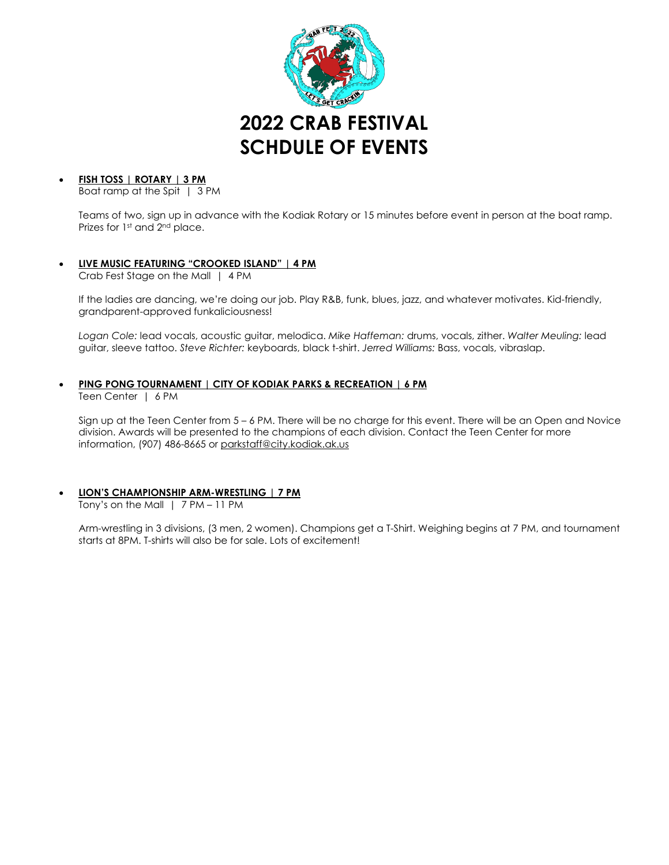

# • **FISH TOSS | ROTARY | 3 PM**

Boat ramp at the Spit | 3 PM

Teams of two, sign up in advance with the Kodiak Rotary or 15 minutes before event in person at the boat ramp. Prizes for 1st and 2<sup>nd</sup> place.

# • **LIVE MUSIC FEATURING "CROOKED ISLAND" | 4 PM**

Crab Fest Stage on the Mall | 4 PM

If the ladies are dancing, we're doing our job. Play R&B, funk, blues, jazz, and whatever motivates. Kid-friendly, grandparent-approved funkaliciousness!

*Logan Cole:* lead vocals, acoustic guitar, melodica. *Mike Haffeman:* drums, vocals, zither. *Walter Meuling:* lead guitar, sleeve tattoo. *Steve Richter:* keyboards, black t-shirt. *Jerred Williams:* Bass, vocals, vibraslap.

# • **PING PONG TOURNAMENT | CITY OF KODIAK PARKS & RECREATION | 6 PM**

Teen Center | 6 PM

Sign up at the Teen Center from 5 – 6 PM. There will be no charge for this event. There will be an Open and Novice division. Awards will be presented to the champions of each division. Contact the Teen Center for more information, (907) 486-8665 or [parkstaff@city.kodiak.ak.us](mailto:parkstaff@city.kodiak.ak.us)

# • **LION'S CHAMPIONSHIP ARM-WRESTLING | 7 PM**

Tony's on the Mall | 7 PM – 11 PM

Arm-wrestling in 3 divisions, (3 men, 2 women). Champions get a T-Shirt. Weighing begins at 7 PM, and tournament starts at 8PM. T-shirts will also be for sale. Lots of excitement!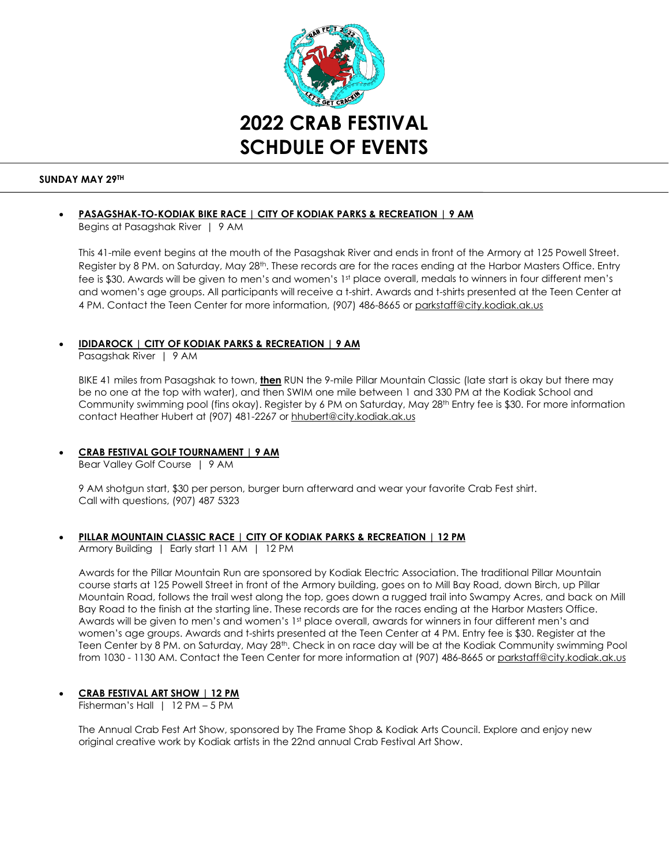

### **SUNDAY MAY 29TH**

# • **PASAGSHAK-TO-KODIAK BIKE RACE | CITY OF KODIAK PARKS & RECREATION | 9 AM**

Begins at Pasagshak River | 9 AM

This 41-mile event begins at the mouth of the Pasagshak River and ends in front of the Armory at 125 Powell Street. Register by 8 PM. on Saturday, May 28th. These records are for the races ending at the Harbor Masters Office. Entry fee is \$30. Awards will be given to men's and women's 1<sup>st</sup> place overall, medals to winners in four different men's and women's age groups. All participants will receive a t-shirt. Awards and t-shirts presented at the Teen Center at 4 PM. Contact the Teen Center for more information, (907) 486-8665 or [parkstaff@city.kodiak.ak.us](mailto:parkstaff@city.kodiak.ak.us) 

### • **IDIDAROCK | CITY OF KODIAK PARKS & RECREATION | 9 AM**

Pasagshak River | 9 AM

BIKE 41 miles from Pasagshak to town, **then** RUN the 9-mile Pillar Mountain Classic (late start is okay but there may be no one at the top with water), and then SWIM one mile between 1 and 330 PM at the Kodiak School and Community swimming pool (fins okay). Register by 6 PM on Saturday, May 28th Entry fee is \$30. For more information contact Heather Hubert at (907) 481-2267 o[r hhubert@city.kodiak.ak.us](mailto:hhubert@city.kodiak.ak.us)

# • **CRAB FESTIVAL GOLF TOURNAMENT | 9 AM**

Bear Valley Golf Course | 9 AM

9 AM shotgun start, \$30 per person, burger burn afterward and wear your favorite Crab Fest shirt. Call with questions, (907) 487 5323

# • **PILLAR MOUNTAIN CLASSIC RACE | CITY OF KODIAK PARKS & RECREATION | 12 PM**

Armory Building | Early start 11 AM | 12 PM

Awards for the Pillar Mountain Run are sponsored by Kodiak Electric Association. The traditional Pillar Mountain course starts at 125 Powell Street in front of the Armory building, goes on to Mill Bay Road, down Birch, up Pillar Mountain Road, follows the trail west along the top, goes down a rugged trail into Swampy Acres, and back on Mill Bay Road to the finish at the starting line. These records are for the races ending at the Harbor Masters Office. Awards will be given to men's and women's 1<sup>st</sup> place overall, awards for winners in four different men's and women's age groups. Awards and t-shirts presented at the Teen Center at 4 PM. Entry fee is \$30. Register at the Teen Center by 8 PM. on Saturday, May 28th. Check in on race day will be at the Kodiak Community swimming Pool from 1030 - 1130 AM. Contact the Teen Center for more information at (907) 486-8665 o[r parkstaff@city.kodiak.ak.us](mailto:parkstaff@city.kodiak.ak.us) 

# • **CRAB FESTIVAL ART SHOW | 12 PM**

Fisherman's Hall | 12 PM – 5 PM

The Annual Crab Fest Art Show, sponsored by The Frame Shop & Kodiak Arts Council. Explore and enjoy new original creative work by Kodiak artists in the 22nd annual Crab Festival Art Show.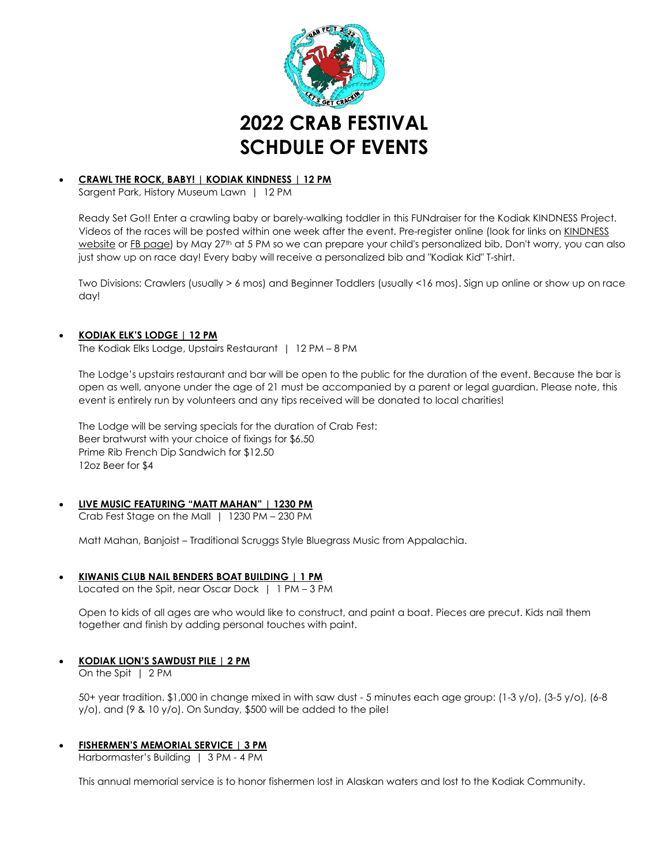

### • **CRAWL THE ROCK, BABY! | KODIAK KINDNESS | 12 PM**

Sargent Park, History Museum Lawn | 12 PM

Ready Set Go!! Enter a crawling baby or barely-walking toddler in this FUNdraiser for the Kodiak KINDNESS Project. Videos of the races will be posted within one week after the event. Pre-register online (look for links on KINDNESS) [website](https://kodiakkindness.org/) or [FB page\)](https://www.facebook.com/Kodiak-K-I-N-D-N-E-S-S-100568739269949/) by May 27<sup>th</sup> at 5 PM so we can prepare your child's personalized bib. Don't worry, you can also just show up on race day! Every baby will receive a personalized bib and "Kodiak Kid" T-shirt.

Two Divisions: Crawlers (usually > 6 mos) and Beginner Toddlers (usually <16 mos). Sign up online or show up on race day!

### • **KODIAK ELK'S LODGE | 12 PM**

The Kodiak Elks Lodge, Upstairs Restaurant | 12 PM – 8 PM

The Lodge's upstairs restaurant and bar will be open to the public for the duration of the event. Because the bar is open as well, anyone under the age of 21 must be accompanied by a parent or legal guardian. Please note, this event is entirely run by volunteers and any tips received will be donated to local charities!

The Lodge will be serving specials for the duration of Crab Fest: Beer bratwurst with your choice of fixings for \$6.50 Prime Rib French Dip Sandwich for \$12.50 12oz Beer for \$4

# • **LIVE MUSIC FEATURING "MATT MAHAN" | 1230 PM**

Crab Fest Stage on the Mall | 1230 PM – 230 PM

Matt Mahan, Banjoist – Traditional Scruggs Style Bluegrass Music from Appalachia.

• **KIWANIS CLUB NAIL BENDERS BOAT BUILDING | 1 PM**

Located on the Spit, near Oscar Dock | 1 PM – 3 PM

Open to kids of all ages are who would like to construct, and paint a boat. Pieces are precut. Kids nail them together and finish by adding personal touches with paint.

# • **KODIAK LION'S SAWDUST PILE | 2 PM**

On the Spit | 2 PM

50+ year tradition. \$1,000 in change mixed in with saw dust - 5 minutes each age group: (1-3 y/o), (3-5 y/o), (6-8 y/o), and (9 & 10 y/o). On Sunday, \$500 will be added to the pile!

• **FISHERMEN'S MEMORIAL SERVICE | 3 PM** 

Harbormaster's Building | 3 PM - 4 PM

This annual memorial service is to honor fishermen lost in Alaskan waters and lost to the Kodiak Community.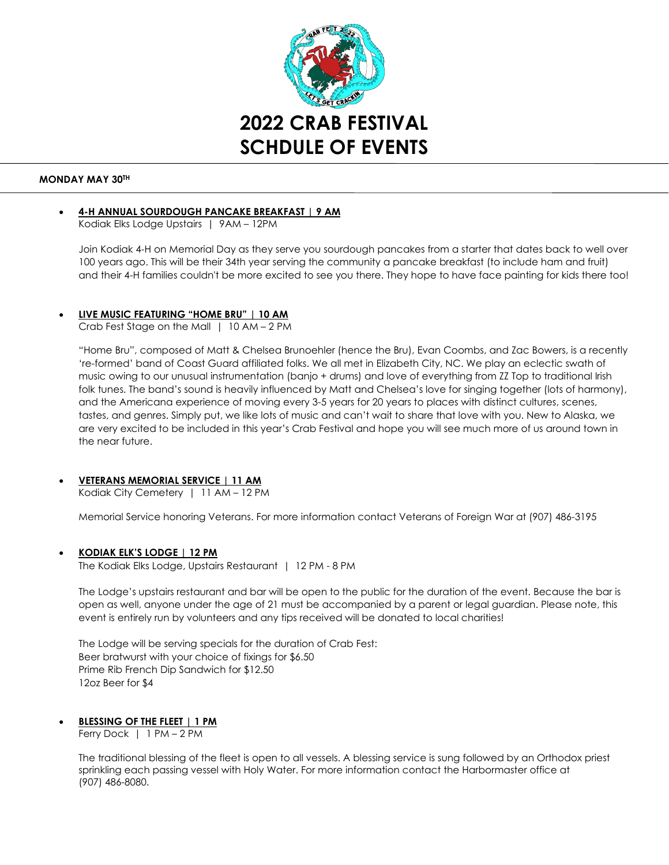

### **MONDAY MAY 30TH**

# • **4-H ANNUAL SOURDOUGH PANCAKE BREAKFAST | 9 AM**

Kodiak Elks Lodge Upstairs | 9AM – 12PM

Join Kodiak 4-H on Memorial Day as they serve you sourdough pancakes from a starter that dates back to well over 100 years ago. This will be their 34th year serving the community a pancake breakfast (to include ham and fruit) and their 4-H families couldn't be more excited to see you there. They hope to have face painting for kids there too!

# • **LIVE MUSIC FEATURING "HOME BRU" | 10 AM**

Crab Fest Stage on the Mall | 10 AM – 2 PM

"Home Bru", composed of Matt & Chelsea Brunoehler (hence the Bru), Evan Coombs, and Zac Bowers, is a recently 're-formed' band of Coast Guard affiliated folks. We all met in Elizabeth City, NC. We play an eclectic swath of music owing to our unusual instrumentation (banjo + drums) and love of everything from ZZ Top to traditional Irish folk tunes. The band's sound is heavily influenced by Matt and Chelsea's love for singing together (lots of harmony), and the Americana experience of moving every 3-5 years for 20 years to places with distinct cultures, scenes, tastes, and genres. Simply put, we like lots of music and can't wait to share that love with you. New to Alaska, we are very excited to be included in this year's Crab Festival and hope you will see much more of us around town in the near future.

# • **VETERANS MEMORIAL SERVICE | 11 AM**

Kodiak City Cemetery | 11 AM – 12 PM

Memorial Service honoring Veterans. For more information contact Veterans of Foreign War at (907) 486-3195

# • **KODIAK ELK'S LODGE | 12 PM**

The Kodiak Elks Lodge, Upstairs Restaurant | 12 PM - 8 PM

The Lodge's upstairs restaurant and bar will be open to the public for the duration of the event. Because the bar is open as well, anyone under the age of 21 must be accompanied by a parent or legal guardian. Please note, this event is entirely run by volunteers and any tips received will be donated to local charities!

The Lodge will be serving specials for the duration of Crab Fest: Beer bratwurst with your choice of fixings for \$6.50 Prime Rib French Dip Sandwich for \$12.50 12oz Beer for \$4

# • **BLESSING OF THE FLEET | 1 PM**

Ferry Dock | 1 PM – 2 PM

The traditional blessing of the fleet is open to all vessels. A blessing service is sung followed by an Orthodox priest sprinkling each passing vessel with Holy Water. For more information contact the Harbormaster office at (907) 486-8080.